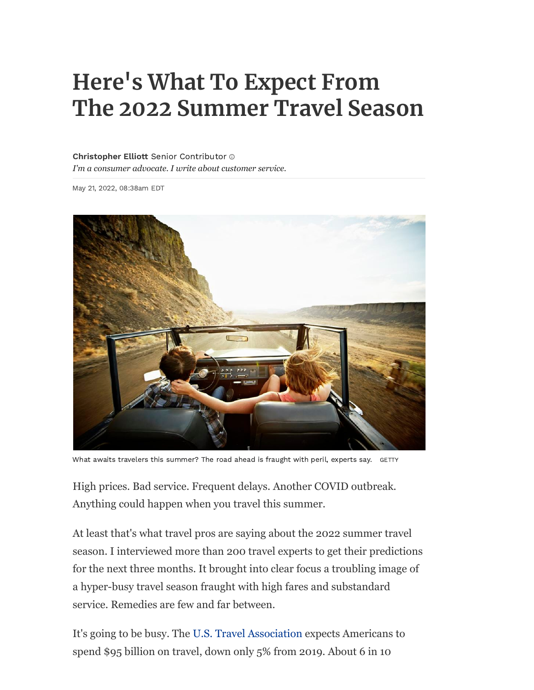# **Here's What To Expect From The 2022 Summer Travel Season**

#### **[Christopher](https://www.forbes.com/sites/christopherelliott/) Elliott** Senior Contributor

*I'm a consumer advocate. I write about customer service.*

May 21, 2022, 08:38am EDT



What awaits travelers this summer? The road ahead is fraught with peril, experts say. GETTY

High prices. Bad service. Frequent delays. Another COVID outbreak. Anything could happen when you travel this summer.

At least that's what travel pros are saying about the 2022 summer travel season. I interviewed more than 200 travel experts to get their predictions for the next three months. It brought into clear focus a troubling image of a hyper-busy travel season fraught with high fares and substandard service. Remedies are few and far between.

It's going to be busy. The [U.S. Travel Association](https://www.ustravel.org/research/monthly-travel-data-report) expects Americans to spend \$95 billion on travel, down only 5% from 2019. About 6 in 10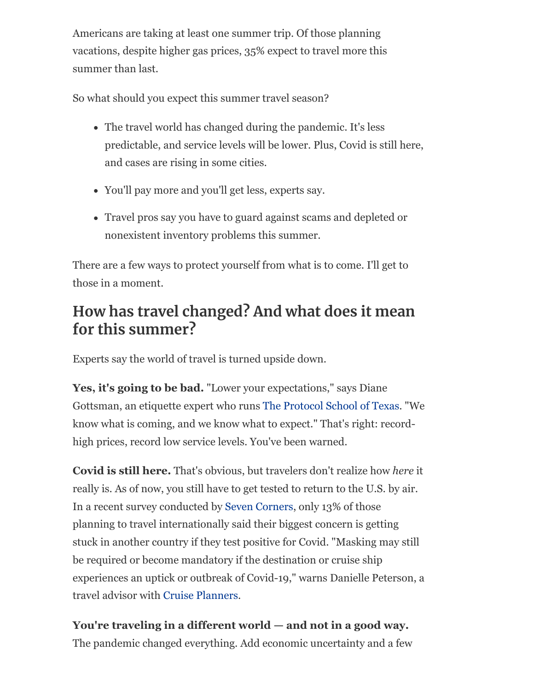Americans are taking at least one summer trip. Of those planning vacations, despite higher gas prices, 35% expect to travel more this summer than last.

So what should you expect this summer travel season?

- The travel world has changed during the pandemic. It's less predictable, and service levels will be lower. Plus, Covid is still here, and cases are rising in some cities.
- You'll pay more and you'll get less, experts say.
- Travel pros say you have to guard against scams and depleted or nonexistent inventory problems this summer.

There are a few ways to protect yourself from what is to come. I'll get to those in a moment.

### **How has travel changed? And what does it mean for this summer?**

Experts say the world of travel is turned upside down.

**Yes, it's going to be bad.** "Lower your expectations," says Diane Gottsman, an etiquette expert who runs [The Protocol School of Texas.](https://protocolschooloftexas.com/) "We know what is coming, and we know what to expect." That's right: recordhigh prices, record low service levels. You've been warned.

**Covid is still here.** That's obvious, but travelers don't realize how *here* it really is. As of now, you still have to get tested to return to the U.S. by air. In a recent survey conducted by [Seven Corners](https://www.sevencorners.com/), only 13% of those planning to travel internationally said their biggest concern is getting stuck in another country if they test positive for Covid. "Masking may still be required or become mandatory if the destination or cruise ship experiences an uptick or outbreak of Covid-19," warns Danielle Peterson, a travel advisor with [Cruise Planners](http://cruiseplanners.com/).

**You're traveling in a different world — and not in a good way.** The pandemic changed everything. Add economic uncertainty and a few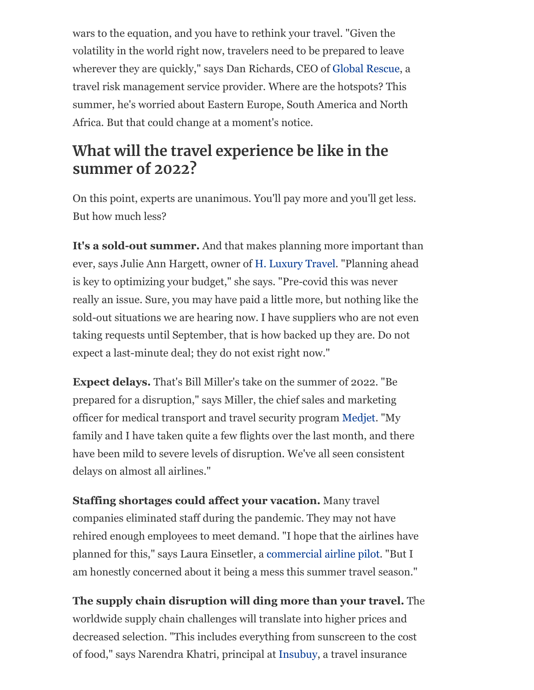wars to the equation, and you have to rethink your travel. "Given the volatility in the world right now, travelers need to be prepared to leave wherever they are quickly," says Dan Richards, CEO of [Global Rescue,](https://www.globalrescue.com/) a travel risk management service provider. Where are the hotspots? This summer, he's worried about Eastern Europe, South America and North Africa. But that could change at a moment's notice.

## **What will the travel experience be like in the summer of 2022?**

On this point, experts are unanimous. You'll pay more and you'll get less. But how much less?

**It's a sold-out summer.** And that makes planning more important than ever, says Julie Ann Hargett, owner of [H. Luxury Travel.](http://hluxurytravel.com/) "Planning ahead is key to optimizing your budget," she says. "Pre-covid this was never really an issue. Sure, you may have paid a little more, but nothing like the sold-out situations we are hearing now. I have suppliers who are not even taking requests until September, that is how backed up they are. Do not expect a last-minute deal; they do not exist right now."

**Expect delays.** That's Bill Miller's take on the summer of 2022. "Be prepared for a disruption," says Miller, the chief sales and marketing officer for medical transport and travel security program [Medjet.](https://medjetassist.com/) "My family and I have taken quite a few flights over the last month, and there have been mild to severe levels of disruption. We've all seen consistent delays on almost all airlines."

**Staffing shortages could affect your vacation.** Many travel companies eliminated staff during the pandemic. They may not have rehired enough employees to meet demand. "I hope that the airlines have planned for this," says Laura Einsetler, a [commercial airline pilot](http://www.captainlaura.com/). "But I am honestly concerned about it being a mess this summer travel season."

**The supply chain disruption will ding more than your travel.** The worldwide supply chain challenges will translate into higher prices and decreased selection. "This includes everything from sunscreen to the cost of food," says Narendra Khatri, principal at [Insubuy](https://www.insubuy.com/), a travel insurance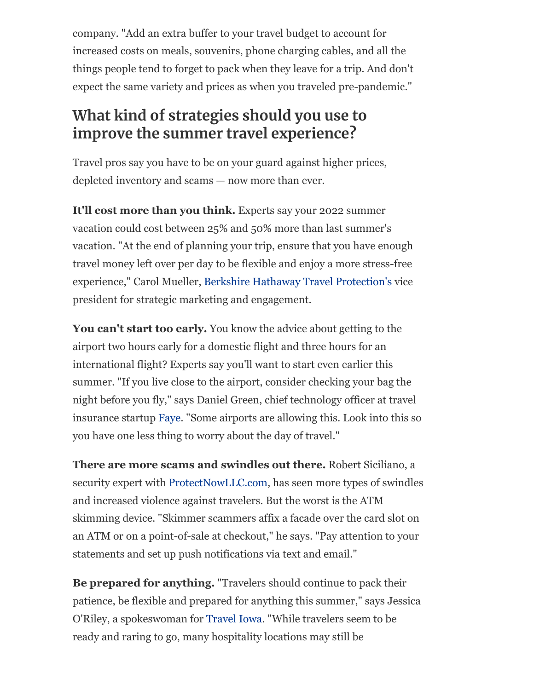company. "Add an extra buffer to your travel budget to account for increased costs on meals, souvenirs, phone charging cables, and all the things people tend to forget to pack when they leave for a trip. And don't expect the same variety and prices as when you traveled pre-pandemic."

### **What kind of strategies should you use to improve the summer travel experience?**

Travel pros say you have to be on your guard against higher prices, depleted inventory and scams — now more than ever.

**It'll cost more than you think.** Experts say your 2022 summer vacation could cost between 25% and 50% more than last summer's vacation. "At the end of planning your trip, ensure that you have enough travel money left over per day to be flexible and enjoy a more stress-free experience," Carol Mueller, [Berkshire Hathaway Travel Protection's](https://www.bhtp.com/) vice president for strategic marketing and engagement.

**You can't start too early.** You know the advice about getting to the airport two hours early for a domestic flight and three hours for an international flight? Experts say you'll want to start even earlier this summer. "If you live close to the airport, consider checking your bag the night before you fly," says Daniel Green, chief technology officer at travel insurance startup [Faye](https://www.withfaye.com/). "Some airports are allowing this. Look into this so you have one less thing to worry about the day of travel."

**There are more scams and swindles out there.** Robert Siciliano, a security expert with [ProtectNowLLC.com](https://protectnowllc.com/), has seen more types of swindles and increased violence against travelers. But the worst is the ATM skimming device. "Skimmer scammers affix a facade over the card slot on an ATM or on a point-of-sale at checkout," he says. "Pay attention to your statements and set up push notifications via text and email."

**Be prepared for anything.** "Travelers should continue to pack their patience, be flexible and prepared for anything this summer," says Jessica O'Riley, a spokeswoman for [Travel Iowa](https://www.traveliowa.com/). "While travelers seem to be ready and raring to go, many hospitality locations may still be